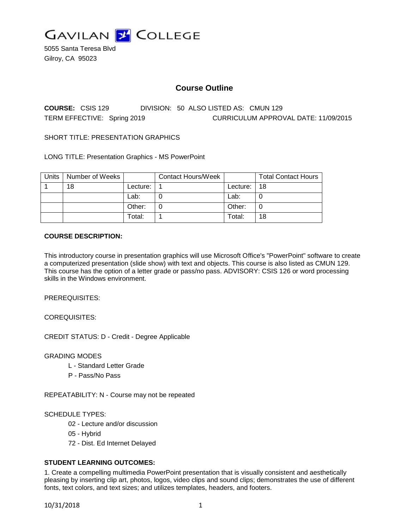

5055 Santa Teresa Blvd Gilroy, CA 95023

# **Course Outline**

**COURSE:** CSIS 129 DIVISION: 50 ALSO LISTED AS: CMUN 129 TERM EFFECTIVE: Spring 2019 CURRICULUM APPROVAL DATE: 11/09/2015

SHORT TITLE: PRESENTATION GRAPHICS

LONG TITLE: Presentation Graphics - MS PowerPoint

| Units | Number of Weeks |          | <b>Contact Hours/Week</b> |          | <b>Total Contact Hours</b> |
|-------|-----------------|----------|---------------------------|----------|----------------------------|
|       | 18              | Lecture: |                           | Lecture: | 18                         |
|       |                 | Lab:     |                           | Lab:     |                            |
|       |                 | Other:   |                           | Other:   |                            |
|       |                 | Total:   |                           | Total:   | 18                         |

#### **COURSE DESCRIPTION:**

This introductory course in presentation graphics will use Microsoft Office's "PowerPoint" software to create a computerized presentation (slide show) with text and objects. This course is also listed as CMUN 129. This course has the option of a letter grade or pass/no pass. ADVISORY: CSIS 126 or word processing skills in the Windows environment.

PREREQUISITES:

COREQUISITES:

CREDIT STATUS: D - Credit - Degree Applicable

GRADING MODES

- L Standard Letter Grade
- P Pass/No Pass

REPEATABILITY: N - Course may not be repeated

#### SCHEDULE TYPES:

- 02 Lecture and/or discussion
- 05 Hybrid
- 72 Dist. Ed Internet Delayed

### **STUDENT LEARNING OUTCOMES:**

1. Create a compelling multimedia PowerPoint presentation that is visually consistent and aesthetically pleasing by inserting clip art, photos, logos, video clips and sound clips; demonstrates the use of different fonts, text colors, and text sizes; and utilizes templates, headers, and footers.

10/31/2018 1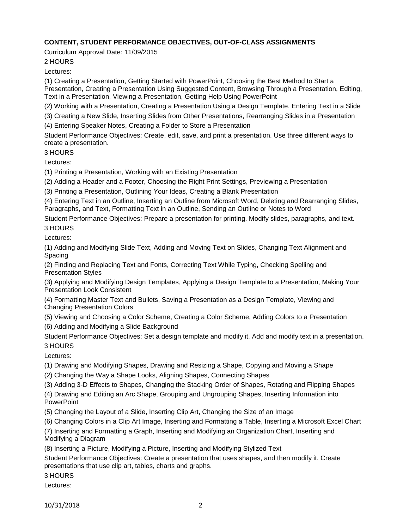## **CONTENT, STUDENT PERFORMANCE OBJECTIVES, OUT-OF-CLASS ASSIGNMENTS**

Curriculum Approval Date: 11/09/2015

2 HOURS

Lectures:

(1) Creating a Presentation, Getting Started with PowerPoint, Choosing the Best Method to Start a Presentation, Creating a Presentation Using Suggested Content, Browsing Through a Presentation, Editing, Text in a Presentation, Viewing a Presentation, Getting Help Using PowerPoint

(2) Working with a Presentation, Creating a Presentation Using a Design Template, Entering Text in a Slide

(3) Creating a New Slide, Inserting Slides from Other Presentations, Rearranging Slides in a Presentation

(4) Entering Speaker Notes, Creating a Folder to Store a Presentation

Student Performance Objectives: Create, edit, save, and print a presentation. Use three different ways to create a presentation.

3 HOURS

Lectures:

(1) Printing a Presentation, Working with an Existing Presentation

(2) Adding a Header and a Footer, Choosing the Right Print Settings, Previewing a Presentation

(3) Printing a Presentation, Outlining Your Ideas, Creating a Blank Presentation

(4) Entering Text in an Outline, Inserting an Outline from Microsoft Word, Deleting and Rearranging Slides, Paragraphs, and Text, Formatting Text in an Outline, Sending an Outline or Notes to Word

Student Performance Objectives: Prepare a presentation for printing. Modify slides, paragraphs, and text. 3 HOURS

Lectures:

(1) Adding and Modifying Slide Text, Adding and Moving Text on Slides, Changing Text Alignment and Spacing

(2) Finding and Replacing Text and Fonts, Correcting Text While Typing, Checking Spelling and Presentation Styles

(3) Applying and Modifying Design Templates, Applying a Design Template to a Presentation, Making Your Presentation Look Consistent

(4) Formatting Master Text and Bullets, Saving a Presentation as a Design Template, Viewing and Changing Presentation Colors

(5) Viewing and Choosing a Color Scheme, Creating a Color Scheme, Adding Colors to a Presentation

(6) Adding and Modifying a Slide Background

Student Performance Objectives: Set a design template and modify it. Add and modify text in a presentation. 3 HOURS

Lectures:

(1) Drawing and Modifying Shapes, Drawing and Resizing a Shape, Copying and Moving a Shape

(2) Changing the Way a Shape Looks, Aligning Shapes, Connecting Shapes

(3) Adding 3-D Effects to Shapes, Changing the Stacking Order of Shapes, Rotating and Flipping Shapes

(4) Drawing and Editing an Arc Shape, Grouping and Ungrouping Shapes, Inserting Information into **PowerPoint** 

(5) Changing the Layout of a Slide, Inserting Clip Art, Changing the Size of an Image

(6) Changing Colors in a Clip Art Image, Inserting and Formatting a Table, Inserting a Microsoft Excel Chart

(7) Inserting and Formatting a Graph, Inserting and Modifying an Organization Chart, Inserting and Modifying a Diagram

(8) Inserting a Picture, Modifying a Picture, Inserting and Modifying Stylized Text

Student Performance Objectives: Create a presentation that uses shapes, and then modify it. Create presentations that use clip art, tables, charts and graphs.

3 HOURS

Lectures: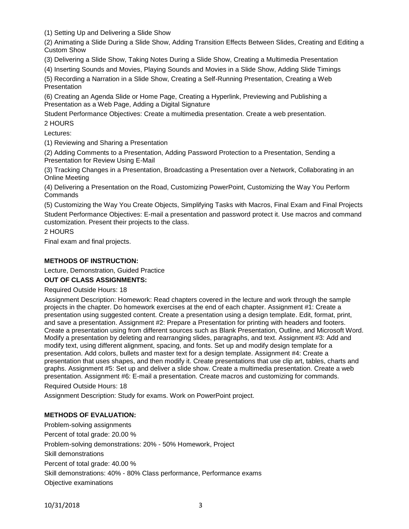(1) Setting Up and Delivering a Slide Show

(2) Animating a Slide During a Slide Show, Adding Transition Effects Between Slides, Creating and Editing a Custom Show

(3) Delivering a Slide Show, Taking Notes During a Slide Show, Creating a Multimedia Presentation

(4) Inserting Sounds and Movies, Playing Sounds and Movies in a Slide Show, Adding Slide Timings

(5) Recording a Narration in a Slide Show, Creating a Self-Running Presentation, Creating a Web Presentation

(6) Creating an Agenda Slide or Home Page, Creating a Hyperlink, Previewing and Publishing a Presentation as a Web Page, Adding a Digital Signature

Student Performance Objectives: Create a multimedia presentation. Create a web presentation. 2 HOURS

Lectures:

(1) Reviewing and Sharing a Presentation

(2) Adding Comments to a Presentation, Adding Password Protection to a Presentation, Sending a Presentation for Review Using E-Mail

(3) Tracking Changes in a Presentation, Broadcasting a Presentation over a Network, Collaborating in an Online Meeting

(4) Delivering a Presentation on the Road, Customizing PowerPoint, Customizing the Way You Perform Commands

(5) Customizing the Way You Create Objects, Simplifying Tasks with Macros, Final Exam and Final Projects

Student Performance Objectives: E-mail a presentation and password protect it. Use macros and command customization. Present their projects to the class.

2 HOURS

Final exam and final projects.

### **METHODS OF INSTRUCTION:**

Lecture, Demonstration, Guided Practice

### **OUT OF CLASS ASSIGNMENTS:**

Required Outside Hours: 18

Assignment Description: Homework: Read chapters covered in the lecture and work through the sample projects in the chapter. Do homework exercises at the end of each chapter. Assignment #1: Create a presentation using suggested content. Create a presentation using a design template. Edit, format, print, and save a presentation. Assignment #2: Prepare a Presentation for printing with headers and footers. Create a presentation using from different sources such as Blank Presentation, Outline, and Microsoft Word. Modify a presentation by deleting and rearranging slides, paragraphs, and text. Assignment #3: Add and modify text, using different alignment, spacing, and fonts. Set up and modify design template for a presentation. Add colors, bullets and master text for a design template. Assignment #4: Create a presentation that uses shapes, and then modify it. Create presentations that use clip art, tables, charts and graphs. Assignment #5: Set up and deliver a slide show. Create a multimedia presentation. Create a web presentation. Assignment #6: E-mail a presentation. Create macros and customizing for commands.

Required Outside Hours: 18

Assignment Description: Study for exams. Work on PowerPoint project.

### **METHODS OF EVALUATION:**

Problem-solving assignments Percent of total grade: 20.00 % Problem-solving demonstrations: 20% - 50% Homework, Project Skill demonstrations Percent of total grade: 40.00 % Skill demonstrations: 40% - 80% Class performance, Performance exams Objective examinations